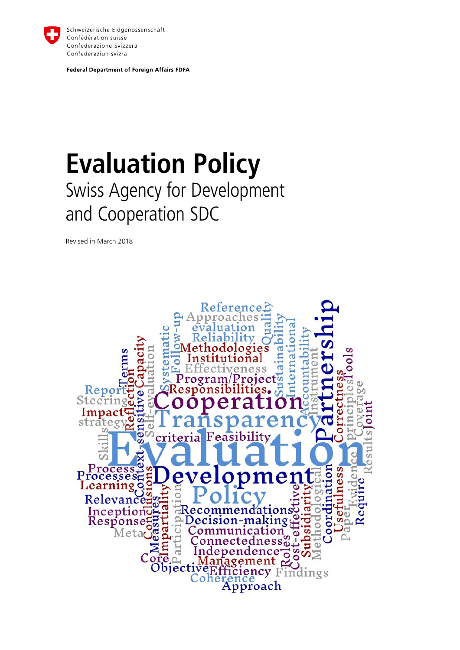

Schweizerische Eidgenossenschaft Confédération suisse Confederazione Svizzera Confederaziun svizra

**Federal Department of Foreign Affairs FDFA** 

### **Evaluation Policy**  Swiss Agency for Development and Cooperation SDC

Revised in March 2018

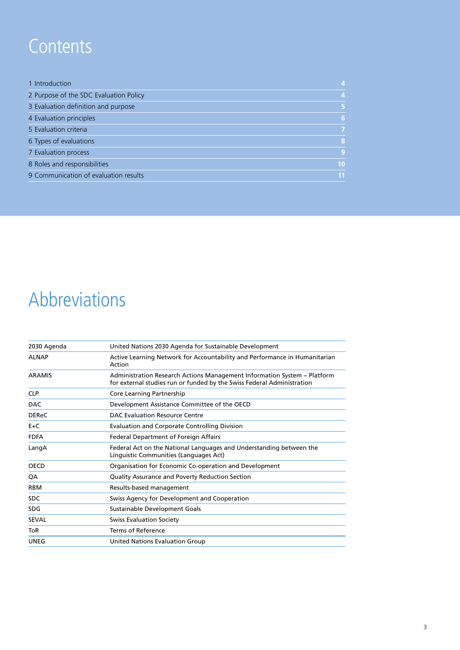### **Contents**

| 4              |
|----------------|
| $\overline{4}$ |
| 5              |
| 6              |
| 7              |
| 8              |
| 9              |
| 10             |
| 11             |
|                |

### Abbreviations

| United Nations 2030 Agenda for Sustainable Development                                                                                             |
|----------------------------------------------------------------------------------------------------------------------------------------------------|
| Active Learning Network for Accountability and Performance in Humanitarian<br>Action                                                               |
| Administration Research Actions Management Information System - Platform<br>for external studies run or funded by the Swiss Federal Administration |
| Core Learning Partnership                                                                                                                          |
| Development Assistance Committee of the OECD                                                                                                       |
| DAC Evaluation Resource Centre                                                                                                                     |
| <b>Evaluation and Corporate Controlling Division</b>                                                                                               |
| Federal Department of Foreign Affairs                                                                                                              |
| Federal Act on the National Languages and Understanding between the<br>Linguistic Communities (Languages Act)                                      |
| Organisation for Economic Co-operation and Development                                                                                             |
| Quality Assurance and Poverty Reduction Section                                                                                                    |
| Results-based management                                                                                                                           |
| Swiss Agency for Development and Cooperation                                                                                                       |
| Sustainable Development Goals                                                                                                                      |
| <b>Swiss Evaluation Society</b>                                                                                                                    |
| <b>Terms of Reference</b>                                                                                                                          |
| United Nations Evaluation Group                                                                                                                    |
|                                                                                                                                                    |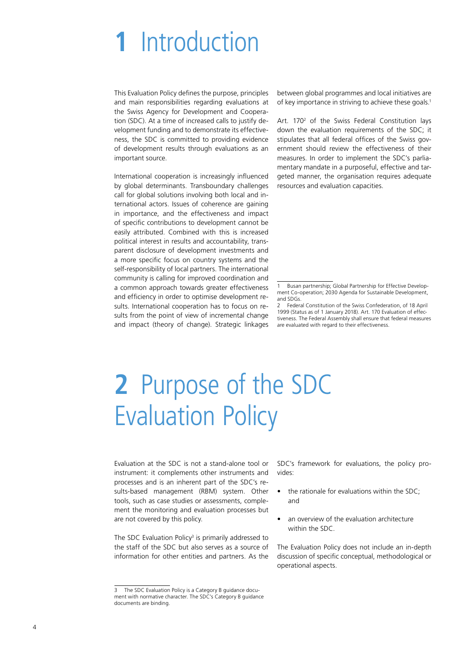## <span id="page-3-0"></span>**1** Introduction

This Evaluation Policy defines the purpose, principles and main responsibilities regarding evaluations at the Swiss Agency for Development and Cooperation (SDC). At a time of increased calls to justify development funding and to demonstrate its effectiveness, the SDC is committed to providing evidence of development results through evaluations as an important source.

International cooperation is increasingly influenced by global determinants. Transboundary challenges call for global solutions involving both local and international actors. Issues of coherence are gaining in importance, and the effectiveness and impact of specific contributions to development cannot be easily attributed. Combined with this is increased political interest in results and accountability, transparent disclosure of development investments and a more specific focus on country systems and the self-responsibility of local partners. The international community is calling for improved coordination and a common approach towards greater effectiveness and efficiency in order to optimise development results. International cooperation has to focus on results from the point of view of incremental change and impact (theory of change). Strategic linkages between global programmes and local initiatives are of key importance in striving to achieve these goals.<sup>1</sup>

Art. 170<sup>2</sup> of the Swiss Federal Constitution lays down the evaluation requirements of the SDC; it stipulates that all federal offices of the Swiss government should review the effectiveness of their measures. In order to implement the SDC's parliamentary mandate in a purposeful, effective and targeted manner, the organisation requires adequate resources and evaluation capacities.

# **2** Purpose of the SDC Evaluation Policy

Evaluation at the SDC is not a stand-alone tool or instrument: it complements other instruments and processes and is an inherent part of the SDC's results-based management (RBM) system. Other tools, such as case studies or assessments, complement the monitoring and evaluation processes but are not covered by this policy.

The SDC Evaluation Policy<sup>3</sup> is primarily addressed to the staff of the SDC but also serves as a source of information for other entities and partners. As the

SDC's framework for evaluations, the policy provides:

- the rationale for evaluations within the SDC: and
- an overview of the evaluation architecture within the SDC.

The Evaluation Policy does not include an in-depth discussion of specific conceptual, methodological or operational aspects.

<sup>1</sup> Busan partnership; Global Partnership for Effective Development Co-operation; 2030 Agenda for Sustainable Development, and SDGs.

<sup>2</sup> Federal Constitution of the Swiss Confederation, of 18 April 1999 (Status as of 1 January 2018). Art. 170 Evaluation of effectiveness. The Federal Assembly shall ensure that federal measures are evaluated with regard to their effectiveness.

<sup>3</sup> The SDC Evaluation Policy is a Category B guidance document with normative character. The SDC's Category B guidance documents are binding.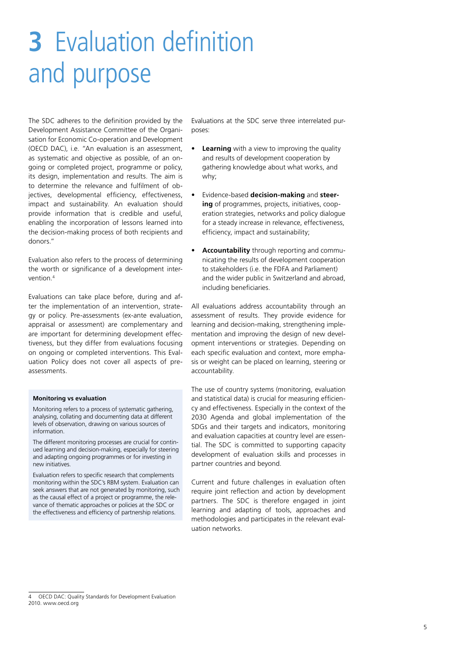# <span id="page-4-0"></span>**3** Evaluation definition and purpose

The SDC adheres to the definition provided by the Development Assistance Committee of the Organisation for Economic Co-operation and Development (OECD DAC), i.e. "An evaluation is an assessment, as systematic and objective as possible, of an ongoing or completed project, programme or policy, its design, implementation and results. The aim is to determine the relevance and fulfilment of objectives, developmental efficiency, effectiveness, impact and sustainability. An evaluation should provide information that is credible and useful, enabling the incorporation of lessons learned into the decision-making process of both recipients and donors."

Evaluation also refers to the process of determining the worth or significance of a development intervention.4

Evaluations can take place before, during and after the implementation of an intervention, strategy or policy. Pre-assessments (ex-ante evaluation, appraisal or assessment) are complementary and are important for determining development effectiveness, but they differ from evaluations focusing on ongoing or completed interventions. This Evaluation Policy does not cover all aspects of preassessments.

#### **Monitoring vs evaluation**

Monitoring refers to a process of systematic gathering, analysing, collating and documenting data at different levels of observation, drawing on various sources of information.

The different monitoring processes are crucial for continued learning and decision-making, especially for steering and adapting ongoing programmes or for investing in new initiatives.

Evaluation refers to specific research that complements monitoring within the SDC's RBM system. Evaluation can seek answers that are not generated by monitoring, such as the causal effect of a project or programme, the relevance of thematic approaches or policies at the SDC or the effectiveness and efficiency of partnership relations.

Evaluations at the SDC serve three interrelated purposes:

- **Learning** with a view to improving the quality and results of development cooperation by gathering knowledge about what works, and why;
- Evidence-based **decision-making** and **steering** of programmes, projects, initiatives, cooperation strategies, networks and policy dialogue for a steady increase in relevance, effectiveness, efficiency, impact and sustainability;
- **Accountability** through reporting and communicating the results of development cooperation to stakeholders (i.e. the FDFA and Parliament) and the wider public in Switzerland and abroad, including beneficiaries.

All evaluations address accountability through an assessment of results. They provide evidence for learning and decision-making, strengthening implementation and improving the design of new development interventions or strategies. Depending on each specific evaluation and context, more emphasis or weight can be placed on learning, steering or accountability.

The use of country systems (monitoring, evaluation and statistical data) is crucial for measuring efficiency and effectiveness. Especially in the context of the 2030 Agenda and global implementation of the SDGs and their targets and indicators, monitoring and evaluation capacities at country level are essential. The SDC is committed to supporting capacity development of evaluation skills and processes in partner countries and beyond.

Current and future challenges in evaluation often require joint reflection and action by development partners. The SDC is therefore engaged in joint learning and adapting of tools, approaches and methodologies and participates in the relevant evaluation networks.

**OECD DAC: Quality Standards for Development Evaluation** 2010. www.oecd.org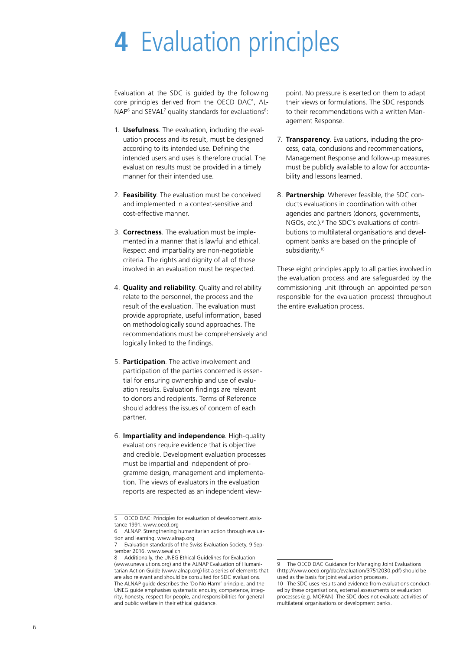## <span id="page-5-0"></span>**4** Evaluation principles

Evaluation at the SDC is guided by the following core principles derived from the OECD DAC5 , AL- $NAP<sup>6</sup>$  and SEVAL<sup>7</sup> quality standards for evaluations<sup>8</sup>:

- 1. **Usefulness**. The evaluation, including the evaluation process and its result, must be designed according to its intended use. Defining the intended users and uses is therefore crucial. The evaluation results must be provided in a timely manner for their intended use.
- 2. **Feasibility**. The evaluation must be conceived and implemented in a context-sensitive and cost-effective manner.
- 3. **Correctness**. The evaluation must be implemented in a manner that is lawful and ethical. Respect and impartiality are non-negotiable criteria. The rights and dignity of all of those involved in an evaluation must be respected.
- 4. **Quality and reliability**. Quality and reliability relate to the personnel, the process and the result of the evaluation. The evaluation must provide appropriate, useful information, based on methodologically sound approaches. The recommendations must be comprehensively and logically linked to the findings.
- 5. **Participation**. The active involvement and participation of the parties concerned is essential for ensuring ownership and use of evaluation results. Evaluation findings are relevant to donors and recipients. Terms of Reference should address the issues of concern of each partner.
- 6. **Impartiality and independence**. High-quality evaluations require evidence that is objective and credible. Development evaluation processes must be impartial and independent of programme design, management and implementation. The views of evaluators in the evaluation reports are respected as an independent view-

point. No pressure is exerted on them to adapt their views or formulations. The SDC responds to their recommendations with a written Management Response.

- 7. **Transparency**. Evaluations, including the process, data, conclusions and recommendations, Management Response and follow-up measures must be publicly available to allow for accountability and lessons learned.
- 8. **Partnership**. Wherever feasible, the SDC conducts evaluations in coordination with other agencies and partners (donors, governments, NGOs, etc.).<sup>9</sup> The SDC's evaluations of contributions to multilateral organisations and development banks are based on the principle of subsidiarity.<sup>10</sup>

These eight principles apply to all parties involved in the evaluation process and are safeguarded by the commissioning unit (through an appointed person responsible for the evaluation process) throughout the entire evaluation process.

<sup>5</sup> OECD DAC: Principles for evaluation of development assistance 1991. www.oecd.org

<sup>6</sup> ALNAP. Strengthening humanitarian action through evaluation and learning. www.alnap.org

<sup>7</sup> Evaluation standards of the Swiss Evaluation Society, 9 September 2016, www.seval.ch

<sup>8</sup> Additionally, the UNEG Ethical Guidelines for Evaluation (www.unevalutions.org) and the ALNAP Evaluation of Humanitarian Action Guide (www.alnap.org) list a series of elements that are also relevant and should be consulted for SDC evaluations. The ALNAP guide describes the 'Do No Harm' principle, and the UNEG guide emphasises systematic enquiry, competence, integrity, honesty, respect for people, and responsibilities for general and public welfare in their ethical guidance.

The OECD DAC Guidance for Managing Joint Evaluations (http://www.oecd.org/dac/evaluation/37512030.pdf) should be used as the basis for joint evaluation processes.

<sup>10</sup> The SDC uses results and evidence from evaluations conducted by these organisations, external assessments or evaluation processes (e.g. MOPAN). The SDC does not evaluate activities of multilateral organisations or development banks.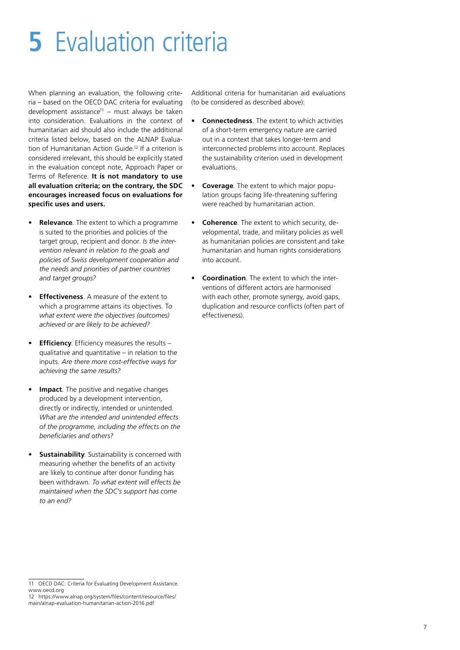# <span id="page-6-0"></span>**5** Evaluation criteria

When planning an evaluation, the following criteria – based on the OECD DAC criteria for evaluating development assistance<sup>11</sup> – must always be taken into consideration. Evaluations in the context of humanitarian aid should also include the additional criteria listed below, based on the ALNAP Evaluation of Humanitarian Action Guide.12 If a criterion is considered irrelevant, this should be explicitly stated in the evaluation concept note, Approach Paper or Terms of Reference. **It is not mandatory to use all evaluation criteria; on the contrary, the SDC encourages increased focus on evaluations for specific uses and users.**

- **Relevance**. The extent to which a programme is suited to the priorities and policies of the target group, recipient and donor. *Is the intervention relevant in relation to the goals and policies of Swiss development cooperation and the needs and priorities of partner countries and target groups?*
- **Effectiveness**. A measure of the extent to which a programme attains its objectives. T*o what extent were the objectives (outcomes) achieved or are likely to be achieved?*
- **Efficiency**. Efficiency measures the results qualitative and quantitative – in relation to the inputs. *Are there more cost-effective ways for achieving the same results?*
- **Impact**. The positive and negative changes produced by a development intervention, directly or indirectly, intended or unintended. *What are the intended and unintended effects of the programme, including the effects on the beneficiaries and others?*
- **Sustainability**. Sustainability is concerned with measuring whether the benefits of an activity are likely to continue after donor funding has been withdrawn. *To what extent will effects be maintained when the SDC's support has come to an end?*

Additional criteria for humanitarian aid evaluations (to be considered as described above):

- **Connectedness**. The extent to which activities of a short-term emergency nature are carried out in a context that takes longer-term and interconnected problems into account. Replaces the sustainability criterion used in development evaluations.
- **Coverage**. The extent to which major population groups facing life-threatening suffering were reached by humanitarian action.
- **Coherence**. The extent to which security, developmental, trade, and military policies as well as humanitarian policies are consistent and take humanitarian and human rights considerations into account.
- **Coordination**. The extent to which the interventions of different actors are harmonised with each other, promote synergy, avoid gaps, duplication and resource conflicts (often part of effectiveness).

<sup>11</sup> OECD DAC: Criteria for Evaluating Development Assistance. www.oecd.org

<sup>12</sup> https://www.alnap.org/system/files/content/resource/files/ main/alnap-evaluation-humanitarian-action-2016.pdf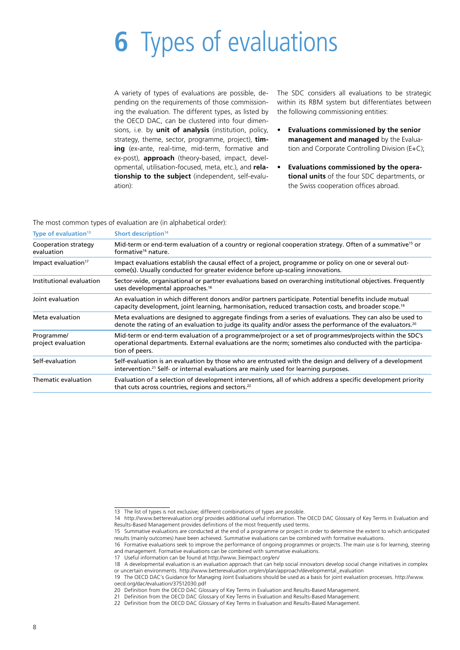# <span id="page-7-0"></span>**6** Types of evaluations

A variety of types of evaluations are possible, depending on the requirements of those commissioning the evaluation. The different types, as listed by the OECD DAC, can be clustered into four dimensions, i.e. by **unit of analysis** (institution, policy, strategy, theme, sector, programme, project), **timing** (ex-ante, real-time, mid-term, formative and ex-post), **approach** (theory-based, impact, developmental, utilisation-focused, meta, etc.), and **relationship to the subject** (independent, self-evaluation):

The SDC considers all evaluations to be strategic within its RBM system but differentiates between the following commissioning entities:

- **Evaluations commissioned by the senior management and managed** by the Evaluation and Corporate Controlling Division (E+C);
- **Evaluations commissioned by the operational units** of the four SDC departments, or the Swiss cooperation offices abroad.

The most common types of evaluation are (in alphabetical order):

| Type of evaluation <sup>13</sup>   | Short description <sup>14</sup>                                                                                                                                                                                                       |
|------------------------------------|---------------------------------------------------------------------------------------------------------------------------------------------------------------------------------------------------------------------------------------|
| Cooperation strategy<br>evaluation | Mid-term or end-term evaluation of a country or regional cooperation strategy. Often of a summative <sup>15</sup> or<br>formative <sup>16</sup> nature.                                                                               |
| Impact evaluation <sup>17</sup>    | Impact evaluations establish the causal effect of a project, programme or policy on one or several out-<br>come(s). Usually conducted for greater evidence before up-scaling innovations.                                             |
| Institutional evaluation           | Sector-wide, organisational or partner evaluations based on overarching institutional objectives. Frequently<br>uses developmental approaches. <sup>18</sup>                                                                          |
| Joint evaluation                   | An evaluation in which different donors and/or partners participate. Potential benefits include mutual<br>edipacity development, joint learning, harmonisation, reduced transaction costs, and broader scope. <sup>19</sup>           |
| Meta evaluation                    | Meta evaluations are designed to aggregate findings from a series of evaluations. They can also be used to<br>denote the rating of an evaluation to judge its quality and/or assess the performance of the evaluators. <sup>20</sup>  |
| Programme/<br>project evaluation   | Mid-term or end-term evaluation of a programme/project or a set of programmes/projects within the SDC's<br>operational departments. External evaluations are the norm; sometimes also conducted with the participa-<br>tion of peers. |
| Self-evaluation                    | Self-evaluation is an evaluation by those who are entrusted with the design and delivery of a development<br>intervention. <sup>21</sup> Self- or internal evaluations are mainly used for learning purposes.                         |
| Thematic evaluation                | Evaluation of a selection of development interventions, all of which address a specific development priority<br>that cuts across countries, regions and sectors. <sup>22</sup>                                                        |

15 Summative evaluations are conducted at the end of a programme or project in order to determine the extent to which anticipated results (mainly outcomes) have been achieved. Summative evaluations can be combined with formative evaluations.

20 Definition from the OECD DAC Glossary of Key Terms in Evaluation and Results-Based Management.

<sup>13</sup> The list of types is not exclusive; different combinations of types are possible.

<sup>14</sup> http://www.betterevaluation.org/ provides additional useful information. The OECD DAC Glossary of Key Terms in Evaluation and Results-Based Management provides definitions of the most frequently used terms.

<sup>16</sup> Formative evaluations seek to improve the performance of ongoing programmes or projects. The main use is for learning, steering and management. Formative evaluations can be combined with summative evaluations.

<sup>17</sup> Useful information can be found at http://www.3ieimpact.org/en/

<sup>18</sup> A developmental evaluation is an evaluation approach that can help social innovators develop social change initiatives in complex or uncertain environments. http://www.betterevaluation.org/en/plan/approach/developmental\_evaluation

<sup>19</sup> The OECD DAC's Guidance for Managing Joint Evaluations should be used as a basis for joint evaluation processes. http://www. oecd.org/dac/evaluation/37512030.pdf

<sup>21</sup> Definition from the OECD DAC Glossary of Key Terms in Evaluation and Results-Based Management.

<sup>22</sup> Definition from the OECD DAC Glossary of Key Terms in Evaluation and Results-Based Management.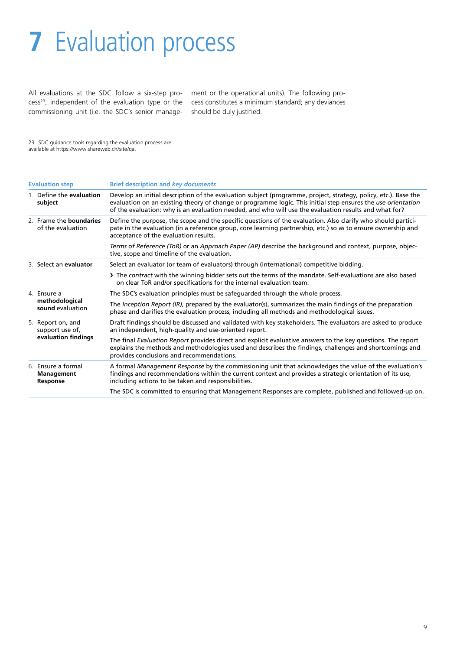# <span id="page-8-0"></span>**7** Evaluation process

All evaluations at the SDC follow a six-step process<sup>23</sup>, independent of the evaluation type or the commissioning unit (i.e. the SDC's senior manage-

ment or the operational units). The following process constitutes a minimum standard; any deviances should be duly justified.

23 SDC guidance tools regarding the evaluation process are

available at https://www.shareweb.ch/site/qa.

|  | <b>Evaluation step</b>                                      | <b>Brief description and key documents</b>                                                                                                                                                                                                                                                                                               |
|--|-------------------------------------------------------------|------------------------------------------------------------------------------------------------------------------------------------------------------------------------------------------------------------------------------------------------------------------------------------------------------------------------------------------|
|  | 1. Define the evaluation<br>subject                         | Develop an initial description of the evaluation subject (programme, project, strategy, policy, etc.). Base the<br>evaluation on an existing theory of change or programme logic. This initial step ensures the use orientation<br>of the evaluation: why is an evaluation needed, and who will use the evaluation results and what for? |
|  | 2. Frame the boundaries<br>of the evaluation                | Define the purpose, the scope and the specific questions of the evaluation. Also clarify who should partici-<br>pate in the evaluation (in a reference group, core learning partnership, etc.) so as to ensure ownership and<br>acceptance of the evaluation results.                                                                    |
|  |                                                             | Terms of Reference (ToR) or an Approach Paper (AP) describe the background and context, purpose, objec-<br>tive, scope and timeline of the evaluation.                                                                                                                                                                                   |
|  | 3. Select an evaluator                                      | Select an evaluator (or team of evaluators) through (international) competitive bidding.                                                                                                                                                                                                                                                 |
|  |                                                             | > The contract with the winning bidder sets out the terms of the mandate. Self-evaluations are also based<br>on clear ToR and/or specifications for the internal evaluation team.                                                                                                                                                        |
|  | 4. Ensure a<br>methodological<br>sound evaluation           | The SDC's evaluation principles must be safeguarded through the whole process.                                                                                                                                                                                                                                                           |
|  |                                                             | The Inception Report (IR), prepared by the evaluator(s), summarizes the main findings of the preparation<br>phase and clarifies the evaluation process, including all methods and methodological issues.                                                                                                                                 |
|  | 5. Report on, and<br>support use of,<br>evaluation findings | Draft findings should be discussed and validated with key stakeholders. The evaluators are asked to produce<br>an independent, high-quality and use-oriented report.                                                                                                                                                                     |
|  |                                                             | The final Evaluation Report provides direct and explicit evaluative answers to the key questions. The report<br>explains the methods and methodologies used and describes the findings, challenges and shortcomings and<br>provides conclusions and recommendations.                                                                     |
|  | 6. Ensure a formal<br><b>Management</b><br>Response         | A formal Management Response by the commissioning unit that acknowledges the value of the evaluation's<br>findings and recommendations within the current context and provides a strategic orientation of its use,<br>including actions to be taken and responsibilities.                                                                |
|  |                                                             | The SDC is committed to ensuring that Management Responses are complete, published and followed-up on.                                                                                                                                                                                                                                   |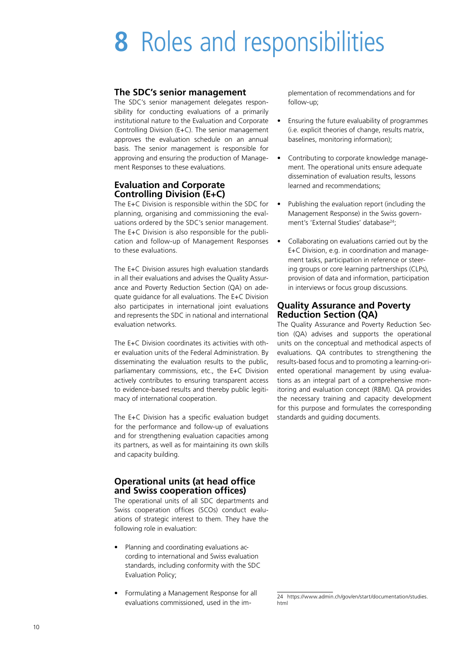## <span id="page-9-0"></span>**8** Roles and responsibilities

### **The SDC's senior management**

The SDC's senior management delegates responsibility for conducting evaluations of a primarily institutional nature to the Evaluation and Corporate Controlling Division (E+C). The senior management approves the evaluation schedule on an annual basis. The senior management is responsible for approving and ensuring the production of Management Responses to these evaluations.

#### **Evaluation and Corporate Controlling Division (E+C)**

The E+C Division is responsible within the SDC for planning, organising and commissioning the evaluations ordered by the SDC's senior management. The E+C Division is also responsible for the publication and follow-up of Management Responses to these evaluations.

The E+C Division assures high evaluation standards in all their evaluations and advises the Quality Assurance and Poverty Reduction Section (QA) on adequate guidance for all evaluations. The E+C Division also participates in international joint evaluations and represents the SDC in national and international evaluation networks.

The E+C Division coordinates its activities with other evaluation units of the Federal Administration. By disseminating the evaluation results to the public, parliamentary commissions, etc., the E+C Division actively contributes to ensuring transparent access to evidence-based results and thereby public legitimacy of international cooperation.

The E+C Division has a specific evaluation budget for the performance and follow-up of evaluations and for strengthening evaluation capacities among its partners, as well as for maintaining its own skills and capacity building.

#### **Operational units (at head office and Swiss cooperation offices)**

The operational units of all SDC departments and Swiss cooperation offices (SCOs) conduct evaluations of strategic interest to them. They have the following role in evaluation:

- Planning and coordinating evaluations according to international and Swiss evaluation standards, including conformity with the SDC Evaluation Policy;
- Formulating a Management Response for all evaluations commissioned, used in the im-

plementation of recommendations and for follow-up;

- Ensuring the future evaluability of programmes (i.e. explicit theories of change, results matrix, baselines, monitoring information);
- Contributing to corporate knowledge management. The operational units ensure adequate dissemination of evaluation results, lessons learned and recommendations;
- Publishing the evaluation report (including the Management Response) in the Swiss government's 'External Studies' database<sup>24</sup>;
- Collaborating on evaluations carried out by the E+C Division, e.g. in coordination and management tasks, participation in reference or steering groups or core learning partnerships (CLPs), provision of data and information, participation in interviews or focus group discussions.

#### **Quality Assurance and Poverty Reduction Section (QA)**

The Quality Assurance and Poverty Reduction Section (QA) advises and supports the operational units on the conceptual and methodical aspects of evaluations. QA contributes to strengthening the results-based focus and to promoting a learning-oriented operational management by using evaluations as an integral part of a comprehensive monitoring and evaluation concept (RBM). QA provides the necessary training and capacity development for this purpose and formulates the corresponding standards and guiding documents.

<sup>24</sup> https://www.admin.ch/gov/en/start/documentation/studies. html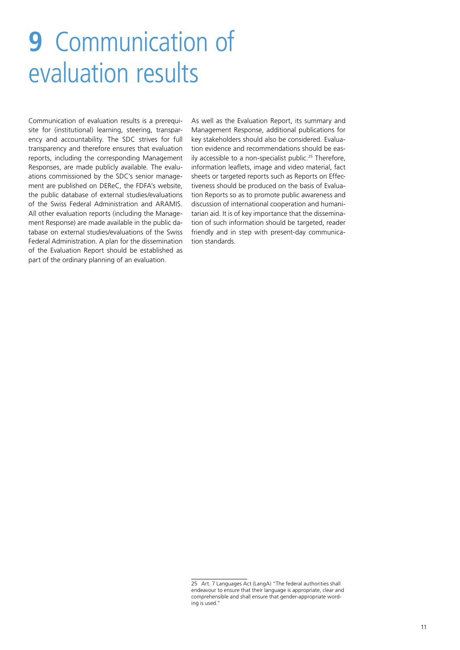## <span id="page-10-0"></span>**9** Communication of evaluation results

Communication of evaluation results is a prerequisite for (institutional) learning, steering, transparency and accountability. The SDC strives for full transparency and therefore ensures that evaluation reports, including the corresponding Management Responses, are made publicly available. The evaluations commissioned by the SDC's senior management are published on DEReC, the FDFA's website, the public database of external studies/evaluations of the Swiss Federal Administration and ARAMIS. All other evaluation reports (including the Management Response) are made available in the public database on external studies/evaluations of the Swiss Federal Administration. A plan for the dissemination of the Evaluation Report should be established as part of the ordinary planning of an evaluation.

As well as the Evaluation Report, its summary and Management Response, additional publications for key stakeholders should also be considered. Evaluation evidence and recommendations should be easily accessible to a non-specialist public.<sup>25</sup> Therefore, information leaflets, image and video material, fact sheets or targeted reports such as Reports on Effectiveness should be produced on the basis of Evaluation Reports so as to promote public awareness and discussion of international cooperation and humanitarian aid. It is of key importance that the dissemination of such information should be targeted, reader friendly and in step with present-day communication standards.

<sup>25</sup> Art. 7 Languages Act (LangA) "The federal authorities shall endeavour to ensure that their language is appropriate, clear and comprehensible and shall ensure that gender-appropriate wording is used."